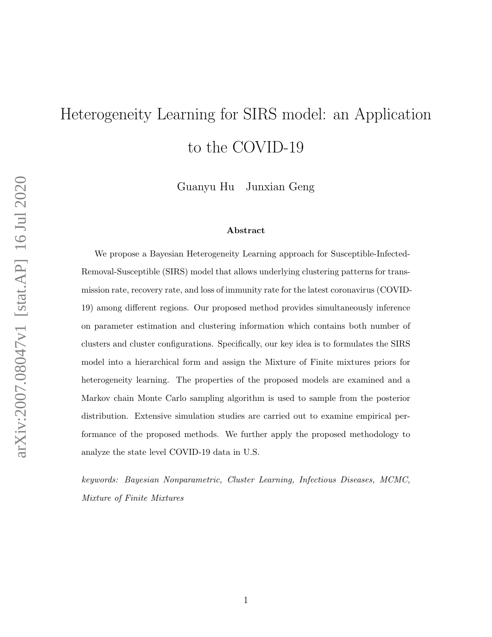# Heterogeneity Learning for SIRS model: an Application to the COVID-19

Guanyu Hu Junxian Geng

#### Abstract

We propose a Bayesian Heterogeneity Learning approach for Susceptible-Infected-Removal-Susceptible (SIRS) model that allows underlying clustering patterns for transmission rate, recovery rate, and loss of immunity rate for the latest coronavirus (COVID-19) among different regions. Our proposed method provides simultaneously inference on parameter estimation and clustering information which contains both number of clusters and cluster configurations. Specifically, our key idea is to formulates the SIRS model into a hierarchical form and assign the Mixture of Finite mixtures priors for heterogeneity learning. The properties of the proposed models are examined and a Markov chain Monte Carlo sampling algorithm is used to sample from the posterior distribution. Extensive simulation studies are carried out to examine empirical performance of the proposed methods. We further apply the proposed methodology to analyze the state level COVID-19 data in U.S.

keywords: Bayesian Nonparametric, Cluster Learning, Infectious Diseases, MCMC, Mixture of Finite Mixtures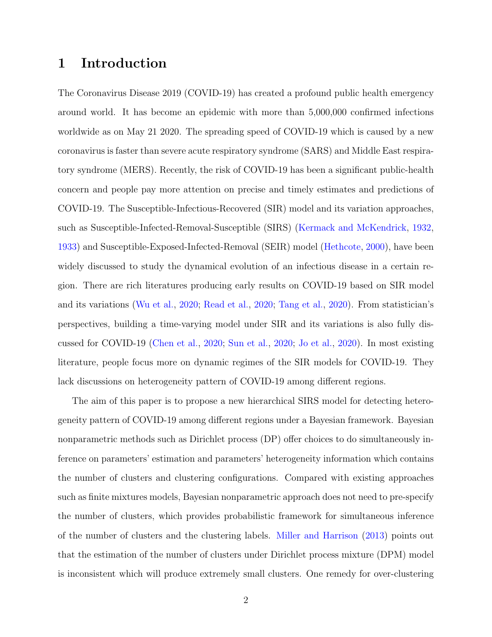## 1 Introduction

The Coronavirus Disease 2019 (COVID-19) has created a profound public health emergency around world. It has become an epidemic with more than 5,000,000 confirmed infections worldwide as on May 21 2020. The spreading speed of COVID-19 which is caused by a new coronavirus is faster than severe acute respiratory syndrome (SARS) and Middle East respiratory syndrome (MERS). Recently, the risk of COVID-19 has been a significant public-health concern and people pay more attention on precise and timely estimates and predictions of COVID-19. The Susceptible-Infectious-Recovered (SIR) model and its variation approaches, such as Susceptible-Infected-Removal-Susceptible (SIRS) [\(Kermack and McKendrick,](#page-19-0) [1932,](#page-19-0) [1933\)](#page-19-1) and Susceptible-Exposed-Infected-Removal (SEIR) model [\(Hethcote,](#page-18-0) [2000\)](#page-18-0), have been widely discussed to study the dynamical evolution of an infectious disease in a certain region. There are rich literatures producing early results on COVID-19 based on SIR model and its variations [\(Wu et al.,](#page-20-0) [2020;](#page-20-0) [Read et al.,](#page-19-2) [2020;](#page-19-2) [Tang et al.,](#page-20-1) [2020\)](#page-20-1). From statistician's perspectives, building a time-varying model under SIR and its variations is also fully discussed for COVID-19 [\(Chen et al.,](#page-18-1) [2020;](#page-18-1) [Sun et al.,](#page-20-2) [2020;](#page-20-2) [Jo et al.,](#page-19-3) [2020\)](#page-19-3). In most existing literature, people focus more on dynamic regimes of the SIR models for COVID-19. They lack discussions on heterogeneity pattern of COVID-19 among different regions.

The aim of this paper is to propose a new hierarchical SIRS model for detecting heterogeneity pattern of COVID-19 among different regions under a Bayesian framework. Bayesian nonparametric methods such as Dirichlet process (DP) offer choices to do simultaneously inference on parameters' estimation and parameters' heterogeneity information which contains the number of clusters and clustering configurations. Compared with existing approaches such as finite mixtures models, Bayesian nonparametric approach does not need to pre-specify the number of clusters, which provides probabilistic framework for simultaneous inference of the number of clusters and the clustering labels. [Miller and Harrison](#page-19-4) [\(2013\)](#page-19-4) points out that the estimation of the number of clusters under Dirichlet process mixture (DPM) model is inconsistent which will produce extremely small clusters. One remedy for over-clustering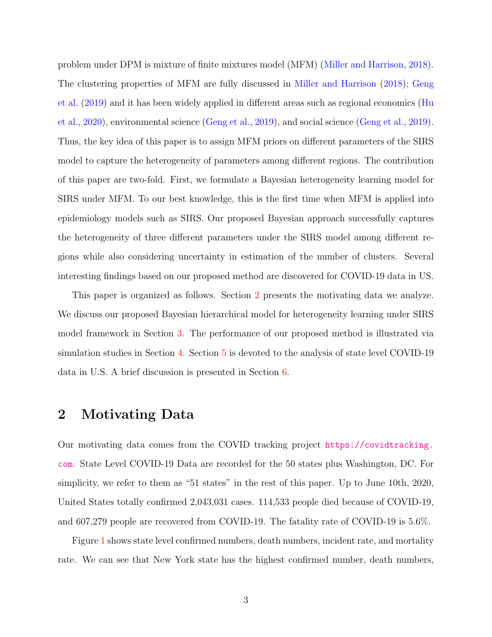problem under DPM is mixture of finite mixtures model (MFM) [\(Miller and Harrison,](#page-19-5) [2018\)](#page-19-5). The clustering properties of MFM are fully discussed in [Miller and Harrison](#page-19-5) [\(2018\)](#page-19-5); [Geng](#page-18-2) [et al.](#page-18-2) [\(2019\)](#page-18-2) and it has been widely applied in different areas such as regional economics [\(Hu](#page-19-6) [et al.,](#page-19-6) [2020\)](#page-19-6), environmental science [\(Geng et al.,](#page-18-3) [2019\)](#page-18-3), and social science [\(Geng et al.,](#page-18-2) [2019\)](#page-18-2). Thus, the key idea of this paper is to assign MFM priors on different parameters of the SIRS model to capture the heterogeneity of parameters among different regions. The contribution of this paper are two-fold. First, we formulate a Bayesian heterogeneity learning model for SIRS under MFM. To our best knowledge, this is the first time when MFM is applied into epidemiology models such as SIRS. Our proposed Bayesian approach successfully captures the heterogeneity of three different parameters under the SIRS model among different regions while also considering uncertainty in estimation of the number of clusters. Several interesting findings based on our proposed method are discovered for COVID-19 data in US.

This paper is organized as follows. Section [2](#page-2-0) presents the motivating data we analyze. We discuss our proposed Bayesian hierarchical model for heterogeneity learning under SIRS model framework in Section [3.](#page-3-0) The performance of our proposed method is illustrated via simulation studies in Section [4.](#page-12-0) Section [5](#page-14-0) is devoted to the analysis of state level COVID-19 data in U.S. A brief discussion is presented in Section [6.](#page-17-0)

# <span id="page-2-0"></span>2 Motivating Data

Our motivating data comes from the COVID tracking project [https://covidtracking.](https://covidtracking.com) [com](https://covidtracking.com). State Level COVID-19 Data are recorded for the 50 states plus Washington, DC. For simplicity, we refer to them as "51 states" in the rest of this paper. Up to June 10th, 2020, United States totally confirmed 2,043,031 cases. 114,533 people died because of COVID-19, and 607,279 people are recovered from COVID-19. The fatality rate of COVID-19 is 5.6%.

Figure [1](#page-3-1) shows state level confirmed numbers, death numbers, incident rate, and mortality rate. We can see that New York state has the highest confirmed number, death numbers,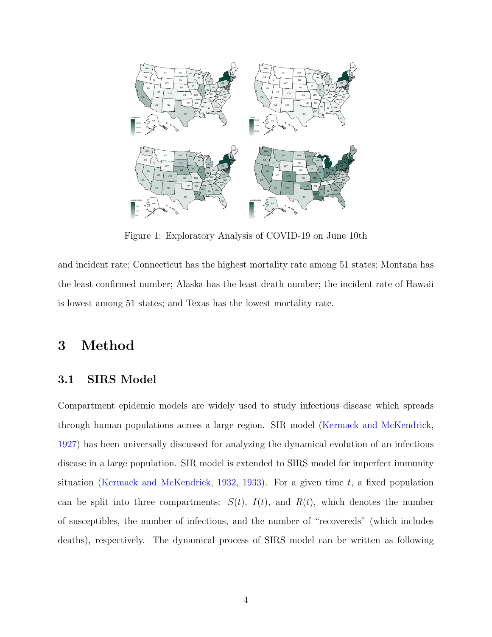<span id="page-3-1"></span>

Figure 1: Exploratory Analysis of COVID-19 on June 10th

and incident rate; Connecticut has the highest mortality rate among 51 states; Montana has the least confirmed number; Alaska has the least death number; the incident rate of Hawaii is lowest among 51 states; and Texas has the lowest mortality rate.

# <span id="page-3-0"></span>3 Method

#### 3.1 SIRS Model

Compartment epidemic models are widely used to study infectious disease which spreads through human populations across a large region. SIR model [\(Kermack and McKendrick,](#page-19-7) [1927\)](#page-19-7) has been universally discussed for analyzing the dynamical evolution of an infectious disease in a large population. SIR model is extended to SIRS model for imperfect immunity situation [\(Kermack and McKendrick,](#page-19-0) [1932,](#page-19-0) [1933\)](#page-19-1). For a given time  $t$ , a fixed population can be split into three compartments:  $S(t)$ ,  $I(t)$ , and  $R(t)$ , which denotes the number of susceptibles, the number of infectious, and the number of "recovereds" (which includes deaths), respectively. The dynamical process of SIRS model can be written as following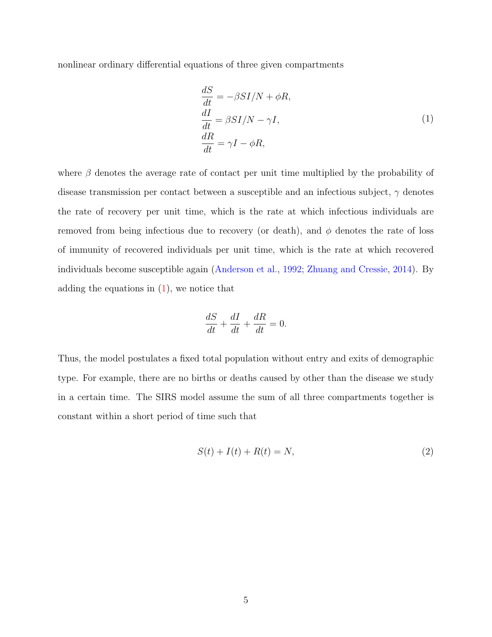nonlinear ordinary differential equations of three given compartments

<span id="page-4-0"></span>
$$
\begin{aligned}\n\frac{dS}{dt} &= -\beta SI/N + \phi R, \\
\frac{dI}{dt} &= \beta SI/N - \gamma I, \\
\frac{dR}{dt} &= \gamma I - \phi R,\n\end{aligned} \tag{1}
$$

where  $\beta$  denotes the average rate of contact per unit time multiplied by the probability of disease transmission per contact between a susceptible and an infectious subject,  $\gamma$  denotes the rate of recovery per unit time, which is the rate at which infectious individuals are removed from being infectious due to recovery (or death), and  $\phi$  denotes the rate of loss of immunity of recovered individuals per unit time, which is the rate at which recovered individuals become susceptible again [\(Anderson et al.,](#page-18-4) [1992;](#page-18-4) [Zhuang and Cressie,](#page-20-3) [2014\)](#page-20-3). By adding the equations in  $(1)$ , we notice that

$$
\frac{dS}{dt} + \frac{dI}{dt} + \frac{dR}{dt} = 0.
$$

Thus, the model postulates a fixed total population without entry and exits of demographic type. For example, there are no births or deaths caused by other than the disease we study in a certain time. The SIRS model assume the sum of all three compartments together is constant within a short period of time such that

<span id="page-4-1"></span>
$$
S(t) + I(t) + R(t) = N,\t\t(2)
$$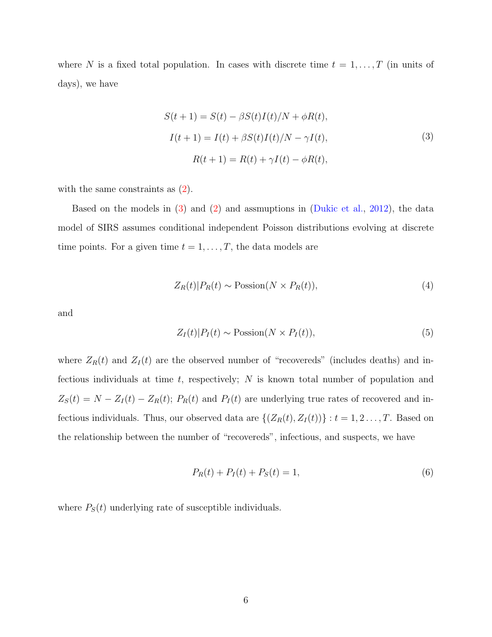where N is a fixed total population. In cases with discrete time  $t = 1, \ldots, T$  (in units of days), we have

<span id="page-5-0"></span>
$$
S(t+1) = S(t) - \beta S(t)I(t)/N + \phi R(t),
$$
  
\n
$$
I(t+1) = I(t) + \beta S(t)I(t)/N - \gamma I(t),
$$
  
\n
$$
R(t+1) = R(t) + \gamma I(t) - \phi R(t),
$$
\n(3)

with the same constraints as  $(2)$ .

<span id="page-5-2"></span>Based on the models in [\(3\)](#page-5-0) and [\(2\)](#page-4-1) and assmuptions in [\(Dukic et al.,](#page-18-5) [2012\)](#page-18-5), the data model of SIRS assumes conditional independent Poisson distributions evolving at discrete time points. For a given time  $t = 1, \ldots, T$ , the data models are

$$
Z_R(t)|P_R(t) \sim \text{Possion}(N \times P_R(t)),\tag{4}
$$

<span id="page-5-3"></span>and

$$
Z_I(t)|P_I(t) \sim \text{Possion}(N \times P_I(t)),\tag{5}
$$

where  $Z_R(t)$  and  $Z_I(t)$  are the observed number of "recovereds" (includes deaths) and infectious individuals at time  $t$ , respectively;  $N$  is known total number of population and  $Z_S(t) = N - Z_I(t) - Z_R(t); P_R(t)$  and  $P_I(t)$  are underlying true rates of recovered and infectious individuals. Thus, our observed data are  $\{(Z_R(t), Z_I(t))\} : t = 1, 2, \ldots, T$ . Based on the relationship between the number of "recovereds", infectious, and suspects, we have

<span id="page-5-1"></span>
$$
P_R(t) + P_I(t) + P_S(t) = 1,
$$
\n(6)

where  $P<sub>S</sub>(t)$  underlying rate of susceptible individuals.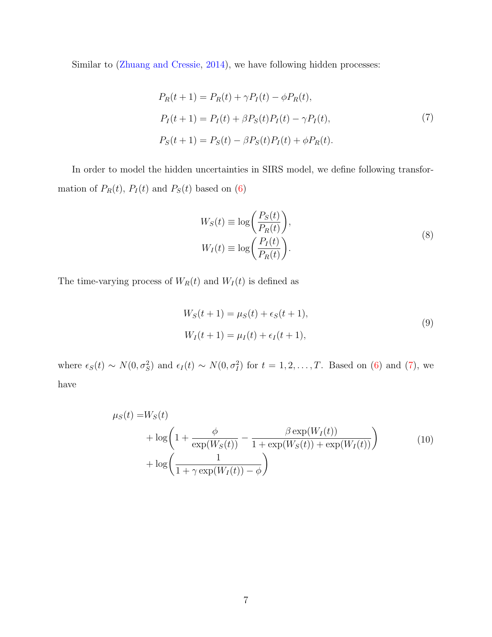Similar to [\(Zhuang and Cressie,](#page-20-3) [2014\)](#page-20-3), we have following hidden processes:

<span id="page-6-0"></span>
$$
P_R(t+1) = P_R(t) + \gamma P_I(t) - \phi P_R(t),
$$
  
\n
$$
P_I(t+1) = P_I(t) + \beta P_S(t) P_I(t) - \gamma P_I(t),
$$
  
\n
$$
P_S(t+1) = P_S(t) - \beta P_S(t) P_I(t) + \phi P_R(t).
$$
\n(7)

In order to model the hidden uncertainties in SIRS model, we define following transformation of  $P_R(t)$ ,  $P_I(t)$  and  $P_S(t)$  based on [\(6\)](#page-5-1)

<span id="page-6-2"></span><span id="page-6-1"></span>
$$
W_S(t) \equiv \log\left(\frac{P_S(t)}{P_R(t)}\right),
$$
  
\n
$$
W_I(t) \equiv \log\left(\frac{P_I(t)}{P_R(t)}\right).
$$
\n(8)

The time-varying process of  $W_R(t)$  and  $W_I(t)$  is defined as

$$
W_S(t + 1) = \mu_S(t) + \epsilon_S(t + 1),
$$
  
\n
$$
W_I(t + 1) = \mu_I(t) + \epsilon_I(t + 1),
$$
\n(9)

where  $\epsilon_S(t) \sim N(0, \sigma_S^2)$  and  $\epsilon_I(t) \sim N(0, \sigma_I^2)$  for  $t = 1, 2, ..., T$ . Based on [\(6\)](#page-5-1) and [\(7\)](#page-6-0), we have

$$
\mu_S(t) = W_S(t)
$$
  
+  $\log\left(1 + \frac{\phi}{\exp(W_S(t))} - \frac{\beta \exp(W_I(t))}{1 + \exp(W_S(t)) + \exp(W_I(t))}\right)$  (10)  
+  $\log\left(\frac{1}{1 + \gamma \exp(W_I(t)) - \phi}\right)$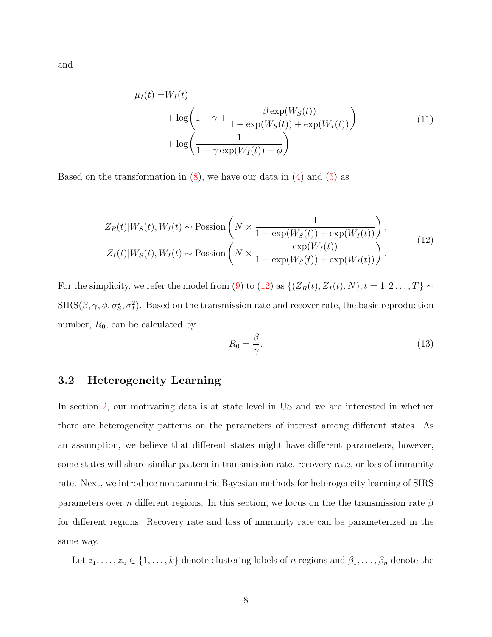$$
\mu_I(t) = W_I(t)
$$
  
+ 
$$
\log\left(1 - \gamma + \frac{\beta \exp(W_S(t))}{1 + \exp(W_S(t)) + \exp(W_I(t))}\right)
$$
  
+ 
$$
\log\left(\frac{1}{1 + \gamma \exp(W_I(t)) - \phi}\right)
$$
 (11)

<span id="page-7-0"></span>Based on the transformation in  $(8)$ , we have our data in  $(4)$  and  $(5)$  as

$$
Z_R(t)|W_S(t), W_I(t) \sim \text{Possion}\left(N \times \frac{1}{1 + \exp(W_S(t)) + \exp(W_I(t))}\right),
$$
  
\n
$$
Z_I(t)|W_S(t), W_I(t) \sim \text{Possion}\left(N \times \frac{\exp(W_I(t))}{1 + \exp(W_S(t)) + \exp(W_I(t))}\right).
$$
\n(12)

For the simplicity, we refer the model from [\(9\)](#page-6-2) to [\(12\)](#page-7-0) as  $\{(Z_R(t), Z_I(t), N), t = 1, 2, \ldots, T\} \sim$  $SIRS(\beta, \gamma, \phi, \sigma_S^2, \sigma_I^2)$ . Based on the transmission rate and recover rate, the basic reproduction number,  $R_0$ , can be calculated by

$$
R_0 = \frac{\beta}{\gamma}.\tag{13}
$$

#### 3.2 Heterogeneity Learning

In section [2,](#page-2-0) our motivating data is at state level in US and we are interested in whether there are heterogeneity patterns on the parameters of interest among different states. As an assumption, we believe that different states might have different parameters, however, some states will share similar pattern in transmission rate, recovery rate, or loss of immunity rate. Next, we introduce nonparametric Bayesian methods for heterogeneity learning of SIRS parameters over n different regions. In this section, we focus on the the transmission rate  $\beta$ for different regions. Recovery rate and loss of immunity rate can be parameterized in the same way.

Let  $z_1, \ldots, z_n \in \{1, \ldots, k\}$  denote clustering labels of n regions and  $\beta_1, \ldots, \beta_n$  denote the

8

and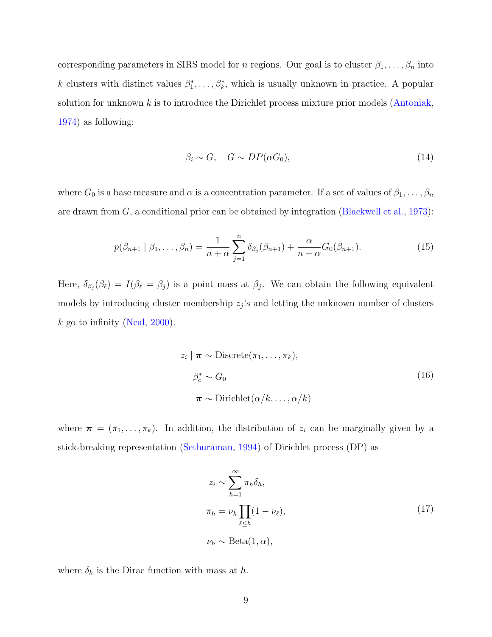corresponding parameters in SIRS model for n regions. Our goal is to cluster  $\beta_1, \ldots, \beta_n$  into k clusters with distinct values  $\beta_1^*, \ldots, \beta_k^*$ , which is usually unknown in practice. A popular solution for unknown  $k$  is to introduce the Dirichlet process mixture prior models [\(Antoniak,](#page-18-6) [1974\)](#page-18-6) as following:

$$
\beta_i \sim G, \quad G \sim DP(\alpha G_0), \tag{14}
$$

where  $G_0$  is a base measure and  $\alpha$  is a concentration parameter. If a set of values of  $\beta_1, \ldots, \beta_n$ are drawn from  $G$ , a conditional prior can be obtained by integration [\(Blackwell et al.,](#page-18-7) [1973\)](#page-18-7):

$$
p(\beta_{n+1} | \beta_1, \dots, \beta_n) = \frac{1}{n+\alpha} \sum_{j=1}^n \delta_{\beta_j}(\beta_{n+1}) + \frac{\alpha}{n+\alpha} G_0(\beta_{n+1}).
$$
 (15)

Here,  $\delta_{\beta_j}(\beta_\ell) = I(\beta_\ell = \beta_j)$  is a point mass at  $\beta_j$ . We can obtain the following equivalent models by introducing cluster membership  $z_j$ 's and letting the unknown number of clusters  $k$  go to infinity [\(Neal,](#page-19-8) [2000\)](#page-19-8).

$$
z_i | \boldsymbol{\pi} \sim \text{Discrete}(\pi_1, \dots, \pi_k),
$$
  

$$
\beta_c^* \sim G_0
$$
  

$$
\boldsymbol{\pi} \sim \text{Dirichlet}(\alpha/k, \dots, \alpha/k)
$$
 (16)

where  $\boldsymbol{\pi} = (\pi_1, \dots, \pi_k)$ . In addition, the distribution of  $z_i$  can be marginally given by a stick-breaking representation [\(Sethuraman,](#page-20-4) [1994\)](#page-20-4) of Dirichlet process (DP) as

<span id="page-8-0"></span>
$$
z_i \sim \sum_{h=1}^{\infty} \pi_h \delta_h,
$$
  

$$
\pi_h = \nu_h \prod_{\ell \le h} (1 - \nu_\ell),
$$
  

$$
\nu_h \sim \text{Beta}(1, \alpha),
$$
 (17)

where  $\delta_h$  is the Dirac function with mass at h.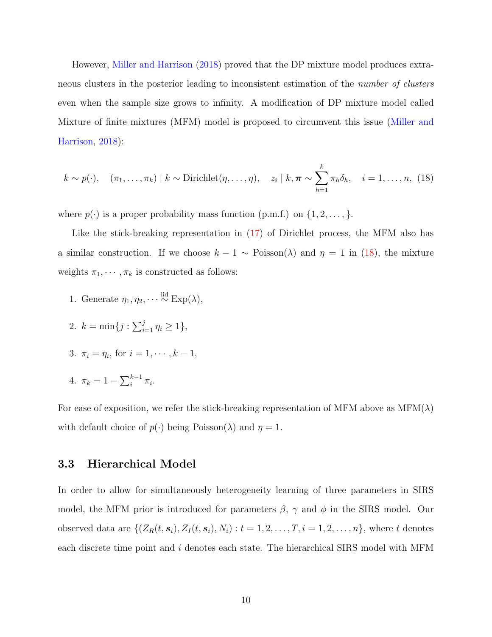However, [Miller and Harrison](#page-19-5) [\(2018\)](#page-19-5) proved that the DP mixture model produces extraneous clusters in the posterior leading to inconsistent estimation of the number of clusters even when the sample size grows to infinity. A modification of DP mixture model called Mixture of finite mixtures (MFM) model is proposed to circumvent this issue [\(Miller and](#page-19-5) [Harrison,](#page-19-5) [2018\)](#page-19-5):

<span id="page-9-0"></span>
$$
k \sim p(\cdot), \quad (\pi_1, \ldots, \pi_k) \mid k \sim \text{Dirichlet}(\eta, \ldots, \eta), \quad z_i \mid k, \pi \sim \sum_{h=1}^k \pi_h \delta_h, \quad i = 1, \ldots, n, \tag{18}
$$

where  $p(\cdot)$  is a proper probability mass function (p.m.f.) on  $\{1, 2, ..., \}$ .

Like the stick-breaking representation in [\(17\)](#page-8-0) of Dirichlet process, the MFM also has a similar construction. If we choose  $k - 1 \sim \text{Poisson}(\lambda)$  and  $\eta = 1$  in [\(18\)](#page-9-0), the mixture weights  $\pi_1, \dots, \pi_k$  is constructed as follows:

- 1. Generate  $\eta_1, \eta_2, \cdots \stackrel{\text{iid}}{\sim} \text{Exp}(\lambda),$
- 2.  $k = \min\{j : \sum_{i=1}^{j} \eta_i \ge 1\},\$
- 3.  $\pi_i = \eta_i$ , for  $i = 1, \dots, k 1$ ,
- 4.  $\pi_k = 1 \sum_{i}^{k-1} \pi_i$ .

For ease of exposition, we refer the stick-breaking representation of MFM above as  $MFM(\lambda)$ with default choice of  $p(\cdot)$  being Poisson( $\lambda$ ) and  $\eta = 1$ .

### <span id="page-9-1"></span>3.3 Hierarchical Model

In order to allow for simultaneously heterogeneity learning of three parameters in SIRS model, the MFM prior is introduced for parameters  $\beta$ ,  $\gamma$  and  $\phi$  in the SIRS model. Our observed data are  $\{(Z_R(t, s_i), Z_I(t, s_i), N_i) : t = 1, 2, ..., T, i = 1, 2, ..., n\}$ , where t denotes each discrete time point and i denotes each state. The hierarchical SIRS model with MFM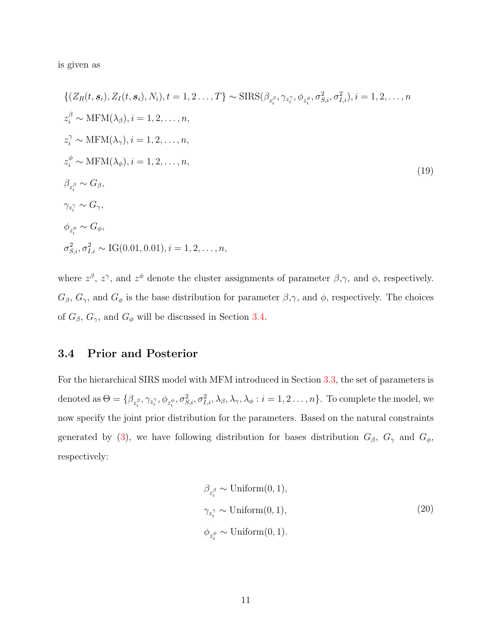<span id="page-10-1"></span>is given as

$$
\{ (Z_R(t, \mathbf{s}_i), Z_I(t, \mathbf{s}_i), N_i), t = 1, 2, \dots, T \} \sim \text{SIRS}(\beta_{z_i^{\beta}}, \gamma_{z_i^{\gamma}}, \phi_{z_i^{\phi}}, \sigma_{S,i}^2, \sigma_{I,i}^2), i = 1, 2, \dots, n
$$
  
\n
$$
z_i^{\beta} \sim \text{MFM}(\lambda_{\beta}), i = 1, 2, \dots, n,
$$
  
\n
$$
z_i^{\gamma} \sim \text{MFM}(\lambda_{\gamma}), i = 1, 2, \dots, n,
$$
  
\n
$$
z_i^{\phi} \sim \text{MFM}(\lambda_{\phi}), i = 1, 2, \dots, n,
$$
  
\n
$$
\beta_{z_i^{\beta}} \sim G_{\beta},
$$
  
\n
$$
\gamma_{z_i^{\gamma}} \sim G_{\gamma},
$$
  
\n
$$
\phi_{z_i^{\phi}} \sim G_{\phi},
$$
  
\n
$$
\sigma_{S,i}^2, \sigma_{I,i}^2 \sim \text{IG}(0.01, 0.01), i = 1, 2, \dots, n,
$$
  
\n(19)

where  $z^{\beta}$ ,  $z^{\gamma}$ , and  $z^{\phi}$  denote the cluster assignments of parameter  $\beta, \gamma$ , and  $\phi$ , respectively.  $G_{\beta}$ ,  $G_{\gamma}$ , and  $G_{\phi}$  is the base distribution for parameter  $\beta$ , $\gamma$ , and  $\phi$ , respectively. The choices of  $G_{\beta}$ ,  $G_{\gamma}$ , and  $G_{\phi}$  will be discussed in Section [3.4.](#page-10-0)

## <span id="page-10-0"></span>3.4 Prior and Posterior

For the hierarchical SIRS model with MFM introduced in Section [3.3,](#page-9-1) the set of parameters is denoted as  $\Theta = \{\beta_{z_i^{\beta}}, \gamma_{z_i^{\gamma}}, \phi_{z_i^{\phi}}, \sigma_{S,i}^2, \sigma_{I,i}^2, \lambda_{\beta}, \lambda_{\gamma}, \lambda_{\phi}: i = 1, 2 \ldots, n\}$ . To complete the model, we now specify the joint prior distribution for the parameters. Based on the natural constraints generated by [\(3\)](#page-5-0), we have following distribution for bases distribution  $G_{\beta}$ ,  $G_{\gamma}$  and  $G_{\phi}$ , respectively:

$$
\beta_{z_i^{\beta}} \sim \text{Uniform}(0, 1),
$$
  
\n
$$
\gamma_{z_i^{\gamma}} \sim \text{Uniform}(0, 1),
$$
  
\n
$$
\phi_{z_i^{\phi}} \sim \text{Uniform}(0, 1).
$$
 (20)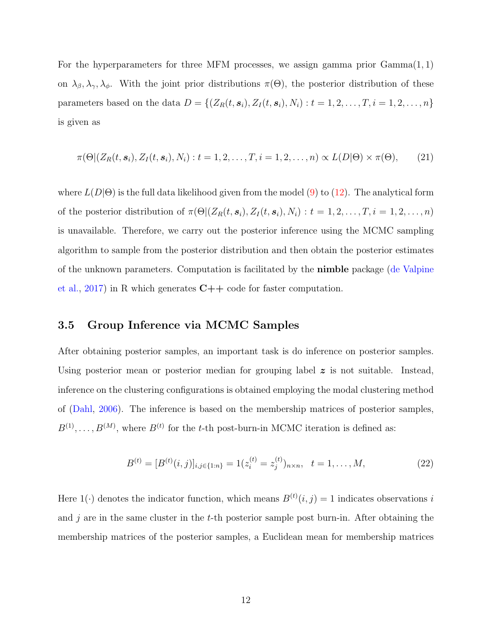For the hyperparameters for three MFM processes, we assign gamma prior  $Gamma(1,1)$ on  $\lambda_{\beta}, \lambda_{\gamma}, \lambda_{\phi}$ . With the joint prior distributions  $\pi(\Theta)$ , the posterior distribution of these parameters based on the data  $D = \{(Z_R(t, s_i), Z_I(t, s_i), N_i) : t = 1, 2, ..., T, i = 1, 2, ..., n\}$ is given as

$$
\pi(\Theta|(Z_R(t, \mathbf{s}_i), Z_I(t, \mathbf{s}_i), N_i): t = 1, 2, \dots, T, i = 1, 2, \dots, n) \propto L(D|\Theta) \times \pi(\Theta), \tag{21}
$$

where  $L(D|\Theta)$  is the full data likelihood given from the model [\(9\)](#page-6-2) to [\(12\)](#page-7-0). The analytical form of the posterior distribution of  $\pi(\Theta|(Z_R(t, s_i), Z_I(t, s_i), N_i) : t = 1, 2, \ldots, T, i = 1, 2, \ldots, n)$ is unavailable. Therefore, we carry out the posterior inference using the MCMC sampling algorithm to sample from the posterior distribution and then obtain the posterior estimates of the unknown parameters. Computation is facilitated by the nimble package [\(de Valpine](#page-18-8) [et al.,](#page-18-8) [2017\)](#page-18-8) in R which generates  $C++$  code for faster computation.

#### <span id="page-11-0"></span>3.5 Group Inference via MCMC Samples

After obtaining posterior samples, an important task is do inference on posterior samples. Using posterior mean or posterior median for grouping label  $z$  is not suitable. Instead, inference on the clustering configurations is obtained employing the modal clustering method of [\(Dahl,](#page-18-9) [2006\)](#page-18-9). The inference is based on the membership matrices of posterior samples,  $B^{(1)}, \ldots, B^{(M)}$ , where  $B^{(t)}$  for the t-th post-burn-in MCMC iteration is defined as:

$$
B^{(t)} = [B^{(t)}(i,j)]_{i,j \in \{1:n\}} = 1(z_i^{(t)} = z_j^{(t)})_{n \times n}, \quad t = 1, \dots, M,
$$
\n(22)

Here  $1(\cdot)$  denotes the indicator function, which means  $B^{(t)}(i, j) = 1$  indicates observations i and  $j$  are in the same cluster in the t-th posterior sample post burn-in. After obtaining the membership matrices of the posterior samples, a Euclidean mean for membership matrices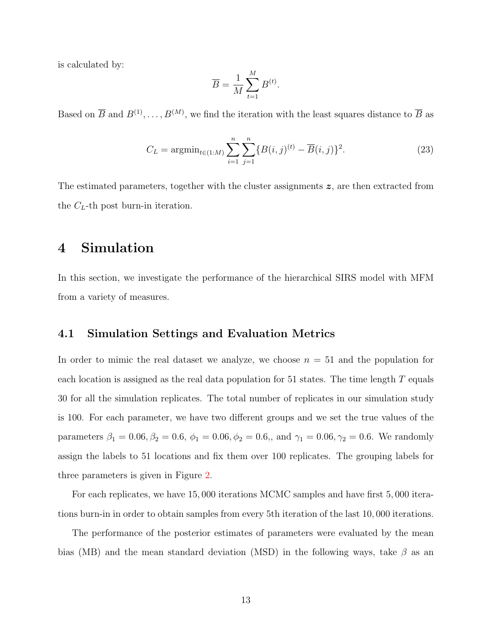is calculated by:

$$
\overline{B} = \frac{1}{M} \sum_{t=1}^{M} B^{(t)}
$$

Based on  $\overline{B}$  and  $B^{(1)}, \ldots, B^{(M)}$ , we find the iteration with the least squares distance to  $\overline{B}$  as

$$
C_L = \operatorname{argmin}_{t \in (1:M)} \sum_{i=1}^{n} \sum_{j=1}^{n} \{B(i,j)^{(t)} - \overline{B}(i,j)\}^2.
$$
 (23)

.

The estimated parameters, together with the cluster assignments  $z$ , are then extracted from the  $C_L$ -th post burn-in iteration.

## <span id="page-12-0"></span>4 Simulation

In this section, we investigate the performance of the hierarchical SIRS model with MFM from a variety of measures.

#### 4.1 Simulation Settings and Evaluation Metrics

In order to mimic the real dataset we analyze, we choose  $n = 51$  and the population for each location is assigned as the real data population for 51 states. The time length  $T$  equals 30 for all the simulation replicates. The total number of replicates in our simulation study is 100. For each parameter, we have two different groups and we set the true values of the parameters  $\beta_1 = 0.06, \beta_2 = 0.6, \phi_1 = 0.06, \phi_2 = 0.6,$ , and  $\gamma_1 = 0.06, \gamma_2 = 0.6$ . We randomly assign the labels to 51 locations and fix them over 100 replicates. The grouping labels for three parameters is given in Figure [2.](#page-13-0)

For each replicates, we have 15, 000 iterations MCMC samples and have first 5, 000 iterations burn-in in order to obtain samples from every 5th iteration of the last 10, 000 iterations.

The performance of the posterior estimates of parameters were evaluated by the mean bias (MB) and the mean standard deviation (MSD) in the following ways, take  $\beta$  as an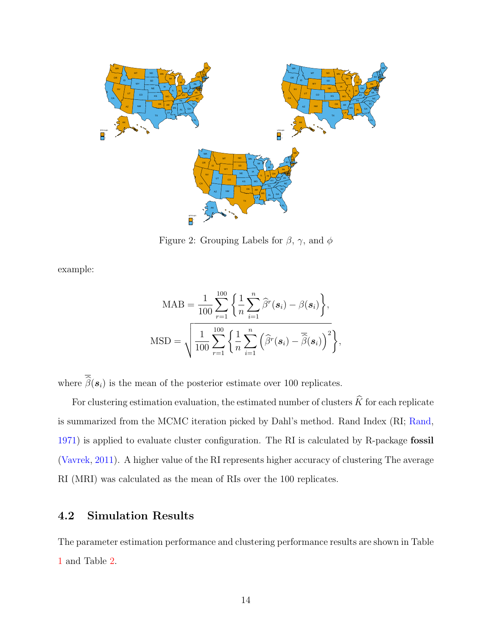<span id="page-13-0"></span>

Figure 2: Grouping Labels for  $\beta$ ,  $\gamma$ , and  $\phi$ 

example:

$$
\text{MAB} = \frac{1}{100} \sum_{r=1}^{100} \left\{ \frac{1}{n} \sum_{i=1}^{n} \hat{\beta}^r(\mathbf{s}_i) - \beta(\mathbf{s}_i) \right\},
$$

$$
\text{MSD} = \sqrt{\frac{1}{100} \sum_{r=1}^{100} \left\{ \frac{1}{n} \sum_{i=1}^{n} \left( \hat{\beta}^r(\mathbf{s}_i) - \overline{\hat{\beta}}(\mathbf{s}_i) \right)^2 \right\}},
$$

where  $\overline{\hat{\beta}}(\mathbf{s}_i)$  is the mean of the posterior estimate over 100 replicates.

For clustering estimation evaluation, the estimated number of clusters  $\widehat{K}$  for each replicate is summarized from the MCMC iteration picked by Dahl's method. Rand Index (RI; [Rand,](#page-19-9) [1971\)](#page-19-9) is applied to evaluate cluster configuration. The RI is calculated by R-package fossil [\(Vavrek,](#page-20-5) [2011\)](#page-20-5). A higher value of the RI represents higher accuracy of clustering The average RI (MRI) was calculated as the mean of RIs over the 100 replicates.

## 4.2 Simulation Results

The parameter estimation performance and clustering performance results are shown in Table [1](#page-14-1) and Table [2.](#page-14-2)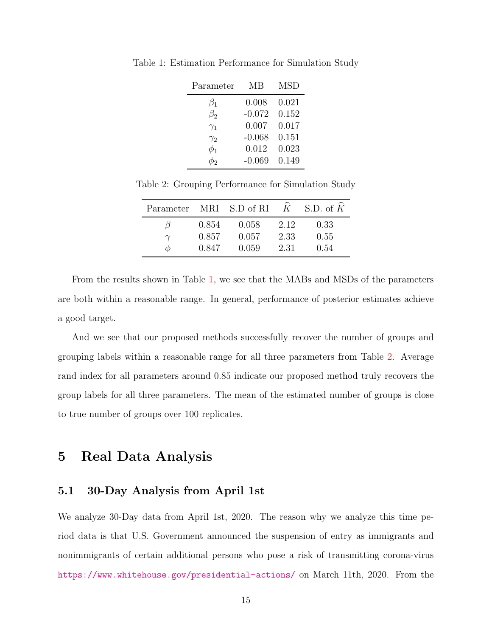| Parameter  | MВ       | <b>MSD</b> |
|------------|----------|------------|
| $\beta_1$  | 0.008    | 0.021      |
| $\beta_2$  | $-0.072$ | 0.152      |
| $\gamma_1$ | 0.007    | 0.017      |
| $\gamma_2$ | $-0.068$ | 0.151      |
| $\phi_1$   | 0.012    | 0.023      |
|            | $-0.069$ | 0.149      |

<span id="page-14-1"></span>Table 1: Estimation Performance for Simulation Study

<span id="page-14-2"></span>Table 2: Grouping Performance for Simulation Study

| Parameter |       | MRI S.D of RI | $K^-$ | S.D. of $K$ |
|-----------|-------|---------------|-------|-------------|
|           | 0.854 | 0.058         | 2.12  | 0.33        |
| $\gamma$  | 0.857 | 0.057         | 2.33  | 0.55        |
|           | 0.847 | 0.059         | 2.31  | 0.54        |

From the results shown in Table [1,](#page-14-1) we see that the MABs and MSDs of the parameters are both within a reasonable range. In general, performance of posterior estimates achieve a good target.

And we see that our proposed methods successfully recover the number of groups and grouping labels within a reasonable range for all three parameters from Table [2.](#page-14-2) Average rand index for all parameters around 0.85 indicate our proposed method truly recovers the group labels for all three parameters. The mean of the estimated number of groups is close to true number of groups over 100 replicates.

## <span id="page-14-0"></span>5 Real Data Analysis

#### 5.1 30-Day Analysis from April 1st

We analyze 30-Day data from April 1st, 2020. The reason why we analyze this time period data is that U.S. Government announced the suspension of entry as immigrants and nonimmigrants of certain additional persons who pose a risk of transmitting corona-virus <https://www.whitehouse.gov/presidential-actions/> on March 11th, 2020. From the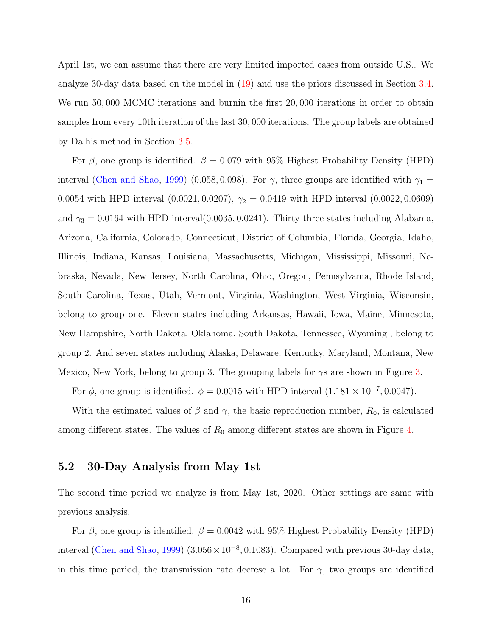April 1st, we can assume that there are very limited imported cases from outside U.S.. We analyze 30-day data based on the model in [\(19\)](#page-10-1) and use the priors discussed in Section [3.4.](#page-10-0) We run 50,000 MCMC iterations and burnin the first 20,000 iterations in order to obtain samples from every 10th iteration of the last 30, 000 iterations. The group labels are obtained by Dalh's method in Section [3.5.](#page-11-0)

For  $\beta$ , one group is identified.  $\beta = 0.079$  with 95% Highest Probability Density (HPD) interval [\(Chen and Shao,](#page-18-10) [1999\)](#page-18-10) (0.058, 0.098). For  $\gamma$ , three groups are identified with  $\gamma_1 =$ 0.0054 with HPD interval  $(0.0021, 0.0207), \gamma_2 = 0.0419$  with HPD interval  $(0.0022, 0.0609)$ and  $\gamma_3 = 0.0164$  with HPD interval(0.0035, 0.0241). Thirty three states including Alabama, Arizona, California, Colorado, Connecticut, District of Columbia, Florida, Georgia, Idaho, Illinois, Indiana, Kansas, Louisiana, Massachusetts, Michigan, Mississippi, Missouri, Nebraska, Nevada, New Jersey, North Carolina, Ohio, Oregon, Pennsylvania, Rhode Island, South Carolina, Texas, Utah, Vermont, Virginia, Washington, West Virginia, Wisconsin, belong to group one. Eleven states including Arkansas, Hawaii, Iowa, Maine, Minnesota, New Hampshire, North Dakota, Oklahoma, South Dakota, Tennessee, Wyoming , belong to group 2. And seven states including Alaska, Delaware, Kentucky, Maryland, Montana, New Mexico, New York, belong to group [3.](#page-16-0) The grouping labels for  $\gamma s$  are shown in Figure 3.

For  $\phi$ , one group is identified.  $\phi = 0.0015$  with HPD interval  $(1.181 \times 10^{-7}, 0.0047)$ .

With the estimated values of  $\beta$  and  $\gamma$ , the basic reproduction number,  $R_0$ , is calculated among different states. The values of  $R_0$  among different states are shown in Figure [4.](#page-16-1)

#### 5.2 30-Day Analysis from May 1st

The second time period we analyze is from May 1st, 2020. Other settings are same with previous analysis.

For  $\beta$ , one group is identified.  $\beta = 0.0042$  with 95% Highest Probability Density (HPD) interval [\(Chen and Shao,](#page-18-10) [1999\)](#page-18-10)  $(3.056 \times 10^{-8}, 0.1083)$ . Compared with previous 30-day data, in this time period, the transmission rate decrese a lot. For  $\gamma$ , two groups are identified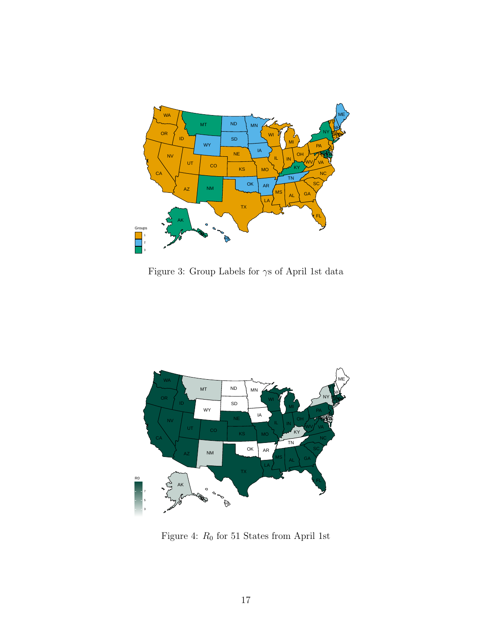<span id="page-16-0"></span>

Figure 3: Group Labels for  $\gamma s$  of April 1st data

<span id="page-16-1"></span>

Figure 4:  $\mathcal{R}_0$  for 51 States from April 1st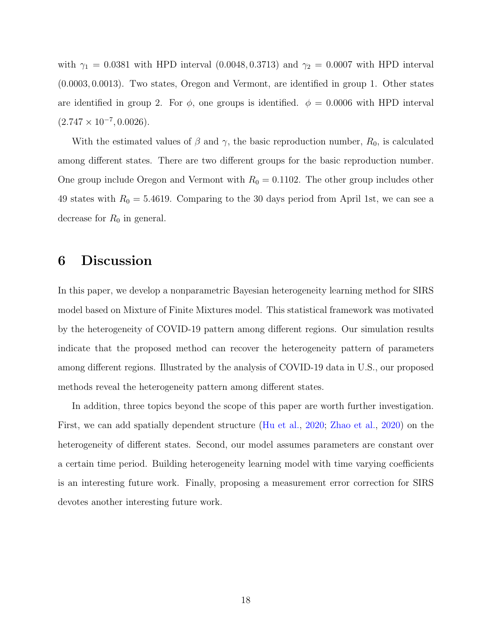with  $\gamma_1 = 0.0381$  with HPD interval  $(0.0048, 0.3713)$  and  $\gamma_2 = 0.0007$  with HPD interval (0.0003, 0.0013). Two states, Oregon and Vermont, are identified in group 1. Other states are identified in group 2. For  $\phi$ , one groups is identified.  $\phi = 0.0006$  with HPD interval  $(2.747 \times 10^{-7}, 0.0026).$ 

With the estimated values of  $\beta$  and  $\gamma$ , the basic reproduction number,  $R_0$ , is calculated among different states. There are two different groups for the basic reproduction number. One group include Oregon and Vermont with  $R_0 = 0.1102$ . The other group includes other 49 states with  $R_0 = 5.4619$ . Comparing to the 30 days period from April 1st, we can see a decrease for  $R_0$  in general.

## <span id="page-17-0"></span>6 Discussion

In this paper, we develop a nonparametric Bayesian heterogeneity learning method for SIRS model based on Mixture of Finite Mixtures model. This statistical framework was motivated by the heterogeneity of COVID-19 pattern among different regions. Our simulation results indicate that the proposed method can recover the heterogeneity pattern of parameters among different regions. Illustrated by the analysis of COVID-19 data in U.S., our proposed methods reveal the heterogeneity pattern among different states.

In addition, three topics beyond the scope of this paper are worth further investigation. First, we can add spatially dependent structure [\(Hu et al.,](#page-19-6) [2020;](#page-19-6) [Zhao et al.,](#page-20-6) [2020\)](#page-20-6) on the heterogeneity of different states. Second, our model assumes parameters are constant over a certain time period. Building heterogeneity learning model with time varying coefficients is an interesting future work. Finally, proposing a measurement error correction for SIRS devotes another interesting future work.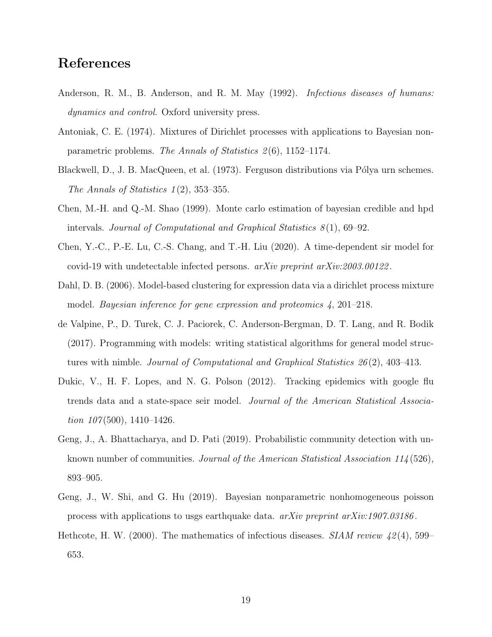# References

- <span id="page-18-4"></span>Anderson, R. M., B. Anderson, and R. M. May (1992). *Infectious diseases of humans:* dynamics and control. Oxford university press.
- <span id="page-18-6"></span>Antoniak, C. E. (1974). Mixtures of Dirichlet processes with applications to Bayesian nonparametric problems. The Annals of Statistics  $2(6)$ , 1152–1174.
- <span id="page-18-7"></span>Blackwell, D., J. B. MacQueen, et al. (1973). Ferguson distributions via Pólya urn schemes. The Annals of Statistics  $1(2)$ , 353–355.
- <span id="page-18-10"></span>Chen, M.-H. and Q.-M. Shao (1999). Monte carlo estimation of bayesian credible and hpd intervals. Journal of Computational and Graphical Statistics  $8(1)$ , 69–92.
- <span id="page-18-1"></span>Chen, Y.-C., P.-E. Lu, C.-S. Chang, and T.-H. Liu (2020). A time-dependent sir model for covid-19 with undetectable infected persons. arXiv preprint arXiv:2003.00122 .
- <span id="page-18-9"></span>Dahl, D. B. (2006). Model-based clustering for expression data via a dirichlet process mixture model. Bayesian inference for gene expression and proteomics 4, 201–218.
- <span id="page-18-8"></span>de Valpine, P., D. Turek, C. J. Paciorek, C. Anderson-Bergman, D. T. Lang, and R. Bodik (2017). Programming with models: writing statistical algorithms for general model structures with nimble. Journal of Computational and Graphical Statistics  $26(2)$ , 403–413.
- <span id="page-18-5"></span>Dukic, V., H. F. Lopes, and N. G. Polson (2012). Tracking epidemics with google flu trends data and a state-space seir model. Journal of the American Statistical Association  $107(500)$ , 1410–1426.
- <span id="page-18-2"></span>Geng, J., A. Bhattacharya, and D. Pati (2019). Probabilistic community detection with unknown number of communities. Journal of the American Statistical Association 114 (526), 893–905.
- <span id="page-18-3"></span>Geng, J., W. Shi, and G. Hu (2019). Bayesian nonparametric nonhomogeneous poisson process with applications to usgs earthquake data. arXiv preprint arXiv:1907.03186 .
- <span id="page-18-0"></span>Hethcote, H. W. (2000). The mathematics of infectious diseases. *SIAM review 42*(4), 599– 653.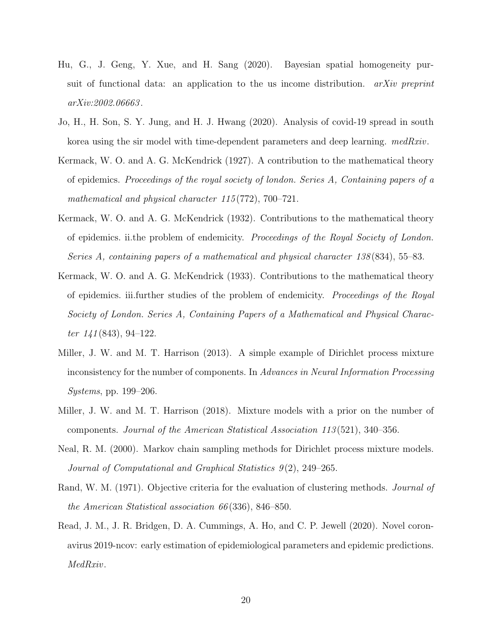- <span id="page-19-6"></span>Hu, G., J. Geng, Y. Xue, and H. Sang (2020). Bayesian spatial homogeneity pursuit of functional data: an application to the us income distribution.  $arXiv$  preprint arXiv:2002.06663 .
- <span id="page-19-3"></span>Jo, H., H. Son, S. Y. Jung, and H. J. Hwang (2020). Analysis of covid-19 spread in south korea using the sir model with time-dependent parameters and deep learning. *medRxiv*.
- <span id="page-19-7"></span>Kermack, W. O. and A. G. McKendrick (1927). A contribution to the mathematical theory of epidemics. Proceedings of the royal society of london. Series A, Containing papers of a mathematical and physical character 115 (772), 700–721.
- <span id="page-19-0"></span>Kermack, W. O. and A. G. McKendrick (1932). Contributions to the mathematical theory of epidemics. ii.the problem of endemicity. Proceedings of the Royal Society of London. Series A, containing papers of a mathematical and physical character 138 (834), 55–83.
- <span id="page-19-1"></span>Kermack, W. O. and A. G. McKendrick (1933). Contributions to the mathematical theory of epidemics. iii.further studies of the problem of endemicity. Proceedings of the Royal Society of London. Series A, Containing Papers of a Mathematical and Physical Character  $141(843)$ , 94-122.
- <span id="page-19-4"></span>Miller, J. W. and M. T. Harrison (2013). A simple example of Dirichlet process mixture inconsistency for the number of components. In Advances in Neural Information Processing Systems, pp. 199–206.
- <span id="page-19-5"></span>Miller, J. W. and M. T. Harrison (2018). Mixture models with a prior on the number of components. Journal of the American Statistical Association 113 (521), 340–356.
- <span id="page-19-8"></span>Neal, R. M. (2000). Markov chain sampling methods for Dirichlet process mixture models. Journal of Computational and Graphical Statistics 9(2), 249–265.
- <span id="page-19-9"></span>Rand, W. M. (1971). Objective criteria for the evaluation of clustering methods. *Journal of* the American Statistical association 66 (336), 846–850.
- <span id="page-19-2"></span>Read, J. M., J. R. Bridgen, D. A. Cummings, A. Ho, and C. P. Jewell (2020). Novel coronavirus 2019-ncov: early estimation of epidemiological parameters and epidemic predictions. MedRxiv.